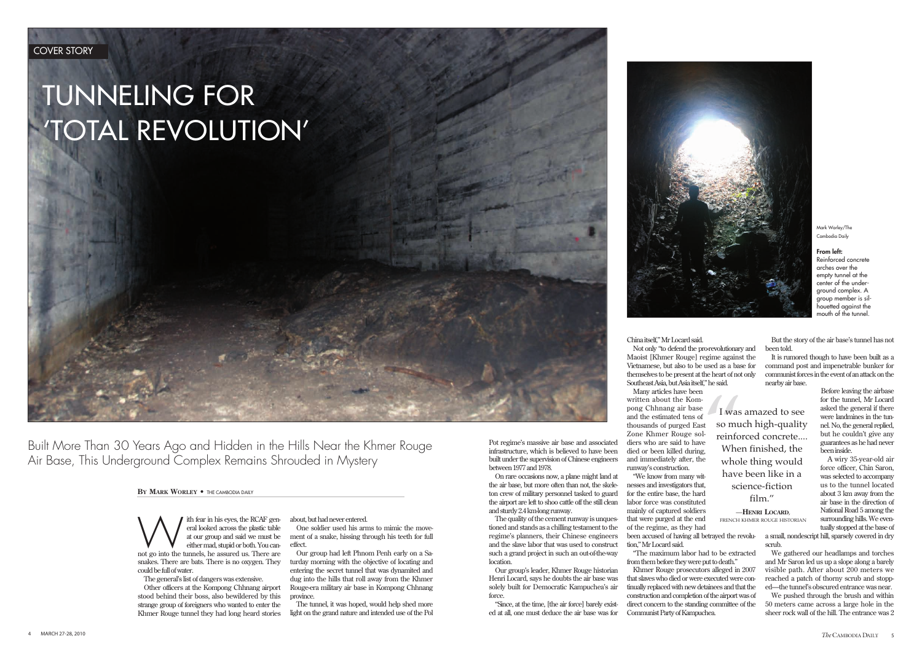with fear in his eyes, the RCAF general looked across the plastic table at our group and said we must be either mad, stupid or both. You cannot go into the tunnels, he assured us. There are eral looked across the plastic table at our group and said we must be either mad, stupid or both. You cansnakes. There are bats. There is no oxygen. They could be full of water.

The general's list of dangers was extensive.

Other officers at the Kompong Chhnang airport stood behind their boss, also bewildered by this strange group of foreigners who wanted to enter the Khmer Rouge tunnel they had long heard stories about, but had never entered.

One soldier used his arms to mimic the movement of a snake, hissing through his teeth for full effect.

Our group had left Phnom Penh early on a Saturday morning with the objective of locating and entering the secret tunnel that was dynamited and dug into the hills that roll away from the Khmer Rouge-era military air base in Kompong Chhnang province.

The quality of the cement runway is unquestioned and stands as a chilling testament to the regime's planners, their Chinese engineers and the slave labor that was used to construct such a grand project in such an out-of-the-way **location** 

The tunnel, it was hoped, would help shed more light on the grand nature and intended use of the Pol

*The* CAMBODIA DAILY 5 4 MARCH 27-28, 2010

Built More Than 30 Years Ago and Hidden in the Hills Near the Khmer Rouge Air Base, This Underground Complex Remains Shrouded in Mystery

Pot regime's massive air base and associated infrastructure, which is believed to have been built under the supervision of Chinese engineers between 1977 and 1978.

On rare occasions now, a plane might land at the air base, but more often than not, the skeleton crew of military personnel tasked to guard the airport are left to shoo cattle off the still clean and sturdy 2.4 km-long runway.

Our group's leader, Khmer Rouge historian Henri Locard, says he doubts the air base was solely built for Democratic Kampuchea's air force.

"Since, at the time, [the air force] barely existed at all, one must deduce the air base was for



Mark Worley/The Cambodia Daily

## From left:

Reinforced concrete arches over the empty tunnel at the center of the underground complex. A group member is silhouetted against the mouth of the tunnel.

 $\begin{bmatrix} 1 \text{ was} \\ 1 \text{ was} \\ 1 \text{ is} \\ 1 \text{ is} \\ 1 \text{ is} \\ 1 \text{ is} \\ 1 \text{ is} \\ 1 \text{ is} \\ 1 \text{ is} \\ 1 \text{ is} \\ 1 \text{ is} \\ 1 \text{ is} \\ 1 \text{ is} \\ 1 \text{ is} \\ 1 \text{ is} \\ 1 \text{ is} \\ 1 \text{ is} \\ 1 \text{ is} \\ 1 \text{ is} \\ 1 \text{ is} \\ 1 \text{ is} \\ 1 \text{ is} \\ 1 \text{ is} \\ 1 \text{ is} \\ 1 \text{ is} \\ 1 \text{ is} \\ 1 \text{ is$ I was amazed to see so much high-quality reinforced concrete.... When finished, the whole thing would have been like in a science-fiction

China itself," Mr Locard said. Not only "to defend the pro-revolutionary and Maoist [Khmer Rouge] regime against the Vietnamese, but also to be used as a base for themselves to be present at the heart of not only Southeast Asia, but Asia itself," he said.

Many articles have been written about the Kompong Chhnang air base and the estimated tens of thousands of purged East Zone Khmer Rouge soldiers who are said to have died or been killed during, and immediately after, the runway's construction.

"We know from many witnesses and investigators that, for the entire base, the hard labor force was constituted mainly of captured soldiers that were purged at the end of the regime, as they had tion," Mr Locard said.

"The maximum labor had to be extracted from them before they were put to death." Khmer Rouge prosecutors alleged in 2007

that slaves who died or were executed were continually replaced with new detainees and that the construction and completion of the airport was of direct concern to the standing committee of the Communist Party of Kampuchea.

But the story of the air base's tunnel has not been told.

It is rumored though to have been built as a command post and impenetrable bunker for communist forces in the event of an attack on the nearby air base.

been accused of having all betrayed the revolu-a small, nondescript hill, sparsely covered in dry scrub.

Before leaving the airbase for the tunnel, Mr Locard asked the general if there were landmines in the tunnel. No, the general replied, but he couldn't give any guarantees as he had never been inside.

A wiry 35-year-old air force officer, Chin Saron, was selected to accompany us to the tunnel located about 3 km away from the air base in the direction of National Road 5 among the surrounding hills. We eventually stopped at the base of

We gathered our headlamps and torches and Mr Saron led us up a slope along a barely visible path. After about 200 meters we reached a patch of thorny scrub and stopped—the tunnel's obscured entrance was near.

We pushed through the brush and within 50 meters came across a large hole in the sheer rock wall of the hill. The entrance was 2

—**HENRI LOCARD**, FRENCH KHMER ROUGE HISTORIAN

## **BY MARK WORLEY •** THE CAMBODIA DAILY

## TUNNELING FOR 'TOTAL REVOLUTION'

film."